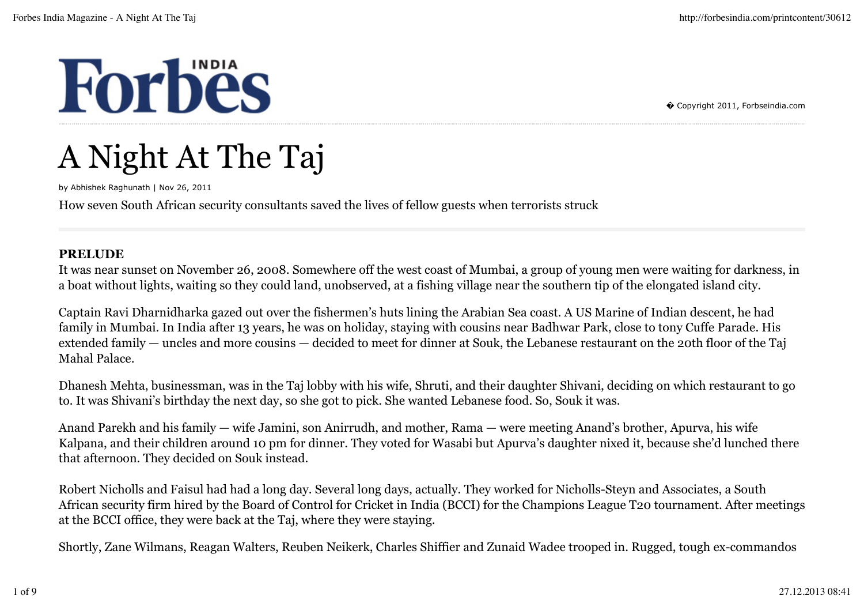# **Forbes**

� Copyright 2011, Forbseindia.com

## A Night At The Taj

by Abhishek Raghunath | Nov 26, 2011

How seven South African security consultants saved the lives of fellow guests when terrorists struck

#### **PRELUDE**

It was near sunset on November 26, 2008. Somewhere off the west coast of Mumbai, a group of young men were waiting for darkness, in a boat without lights, waiting so they could land, unobserved, at a fishing village near the southern tip of the elongated island city.

Captain Ravi Dharnidharka gazed out over the fishermen's huts lining the Arabian Sea coast. A US Marine of Indian descent, he had family in Mumbai. In India after 13 years, he was on holiday, staying with cousins near Badhwar Park, close to tony Cuffe Parade. His extended family — uncles and more cousins — decided to meet for dinner at Souk, the Lebanese restaurant on the 20th floor of the Taj Mahal Palace.

Dhanesh Mehta, businessman, was in the Taj lobby with his wife, Shruti, and their daughter Shivani, deciding on which restaurant to go to. It was Shivani's birthday the next day, so she got to pick. She wanted Lebanese food. So, Souk it was.

Anand Parekh and his family — wife Jamini, son Anirrudh, and mother, Rama — were meeting Anand's brother, Apurva, his wife Kalpana, and their children around 10 pm for dinner. They voted for Wasabi but Apurva's daughter nixed it, because she'd lunched there that afternoon. They decided on Souk instead.

Robert Nicholls and Faisul had had a long day. Several long days, actually. They worked for Nicholls-Steyn and Associates, a South African security firm hired by the Board of Control for Cricket in India (BCCI) for the Champions League T20 tournament. After meetings at the BCCI office, they were back at the Taj, where they were staying.

Shortly, Zane Wilmans, Reagan Walters, Reuben Neikerk, Charles Shiffier and Zunaid Wadee trooped in. Rugged, tough ex-commandos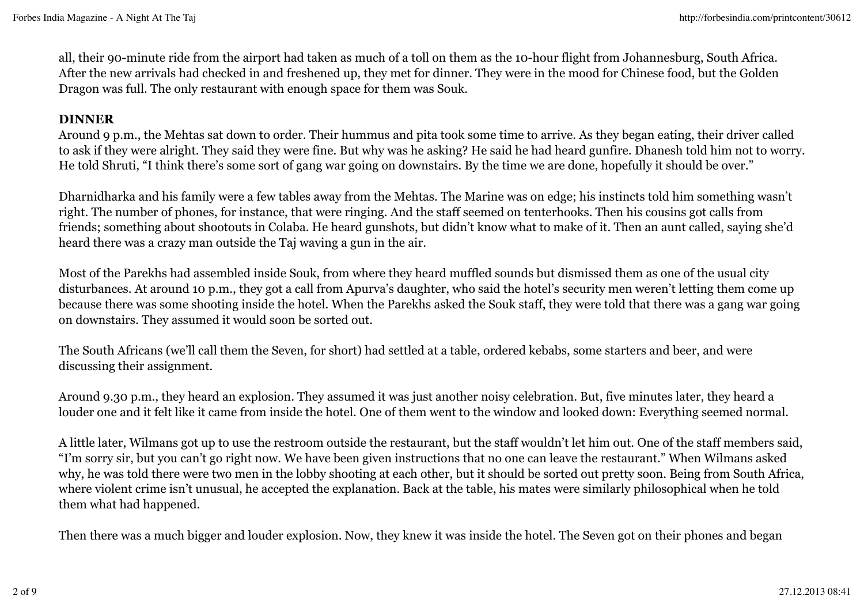all, their 90-minute ride from the airport had taken as much of a toll on them as the 10-hour flight from Johannesburg, South Africa. After the new arrivals had checked in and freshened up, they met for dinner. They were in the mood for Chinese food, but the Golden Dragon was full. The only restaurant with enough space for them was Souk.

#### **DINNER**

Around 9 p.m., the Mehtas sat down to order. Their hummus and pita took some time to arrive. As they began eating, their driver called to ask if they were alright. They said they were fine. But why was he asking? He said he had heard gunfire. Dhanesh told him not to worry. He told Shruti, "I think there's some sort of gang war going on downstairs. By the time we are done, hopefully it should be over."

Dharnidharka and his family were a few tables away from the Mehtas. The Marine was on edge; his instincts told him something wasn't right. The number of phones, for instance, that were ringing. And the staff seemed on tenterhooks. Then his cousins got calls from friends; something about shootouts in Colaba. He heard gunshots, but didn't know what to make of it. Then an aunt called, saying she'd heard there was a crazy man outside the Taj waving a gun in the air.

Most of the Parekhs had assembled inside Souk, from where they heard muffled sounds but dismissed them as one of the usual city disturbances. At around 10 p.m., they got a call from Apurva's daughter, who said the hotel's security men weren't letting them come up because there was some shooting inside the hotel. When the Parekhs asked the Souk staff, they were told that there was a gang war going on downstairs. They assumed it would soon be sorted out.

The South Africans (we'll call them the Seven, for short) had settled at a table, ordered kebabs, some starters and beer, and were discussing their assignment.

Around 9.30 p.m., they heard an explosion. They assumed it was just another noisy celebration. But, five minutes later, they heard a louder one and it felt like it came from inside the hotel. One of them went to the window and looked down: Everything seemed normal.

A little later, Wilmans got up to use the restroom outside the restaurant, but the staff wouldn't let him out. One of the staff members said, "I'm sorry sir, but you can't go right now. We have been given instructions that no one can leave the restaurant." When Wilmans asked why, he was told there were two men in the lobby shooting at each other, but it should be sorted out pretty soon. Being from South Africa, where violent crime isn't unusual, he accepted the explanation. Back at the table, his mates were similarly philosophical when he told them what had happened.

Then there was a much bigger and louder explosion. Now, they knew it was inside the hotel. The Seven got on their phones and began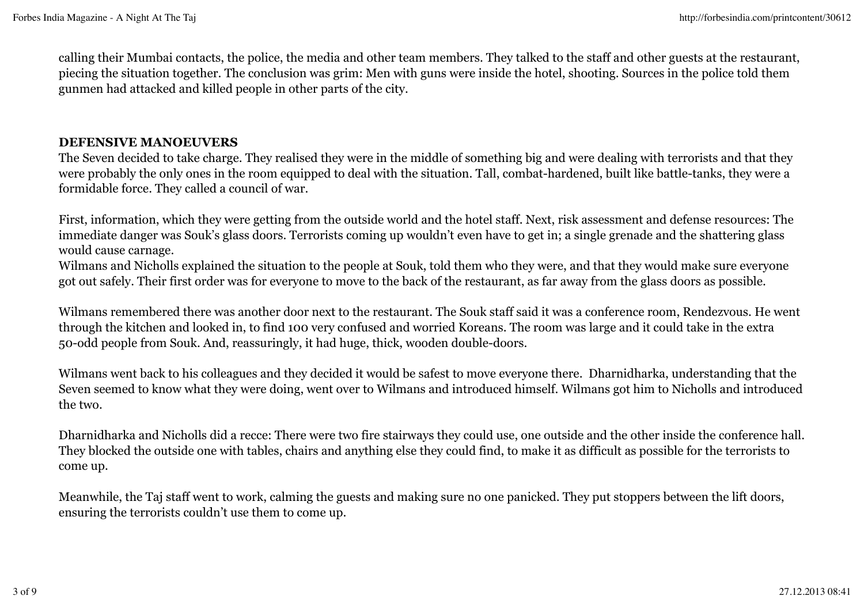calling their Mumbai contacts, the police, the media and other team members. They talked to the staff and other guests at the restaurant, piecing the situation together. The conclusion was grim: Men with guns were inside the hotel, shooting. Sources in the police told them gunmen had attacked and killed people in other parts of the city.

#### **DEFENSIVE MANOEUVERS**

The Seven decided to take charge. They realised they were in the middle of something big and were dealing with terrorists and that they were probably the only ones in the room equipped to deal with the situation. Tall, combat-hardened, built like battle-tanks, they were a formidable force. They called a council of war.

First, information, which they were getting from the outside world and the hotel staff. Next, risk assessment and defense resources: The immediate danger was Souk's glass doors. Terrorists coming up wouldn't even have to get in; a single grenade and the shattering glass would cause carnage.

Wilmans and Nicholls explained the situation to the people at Souk, told them who they were, and that they would make sure everyone got out safely. Their first order was for everyone to move to the back of the restaurant, as far away from the glass doors as possible.

Wilmans remembered there was another door next to the restaurant. The Souk staff said it was a conference room, Rendezvous. He went through the kitchen and looked in, to find 100 very confused and worried Koreans. The room was large and it could take in the extra 50-odd people from Souk. And, reassuringly, it had huge, thick, wooden double-doors.

Wilmans went back to his colleagues and they decided it would be safest to move everyone there. Dharnidharka, understanding that the Seven seemed to know what they were doing, went over to Wilmans and introduced himself. Wilmans got him to Nicholls and introduced the two.

Dharnidharka and Nicholls did a recce: There were two fire stairways they could use, one outside and the other inside the conference hall. They blocked the outside one with tables, chairs and anything else they could find, to make it as difficult as possible for the terrorists to come up.

Meanwhile, the Taj staff went to work, calming the guests and making sure no one panicked. They put stoppers between the lift doors, ensuring the terrorists couldn't use them to come up.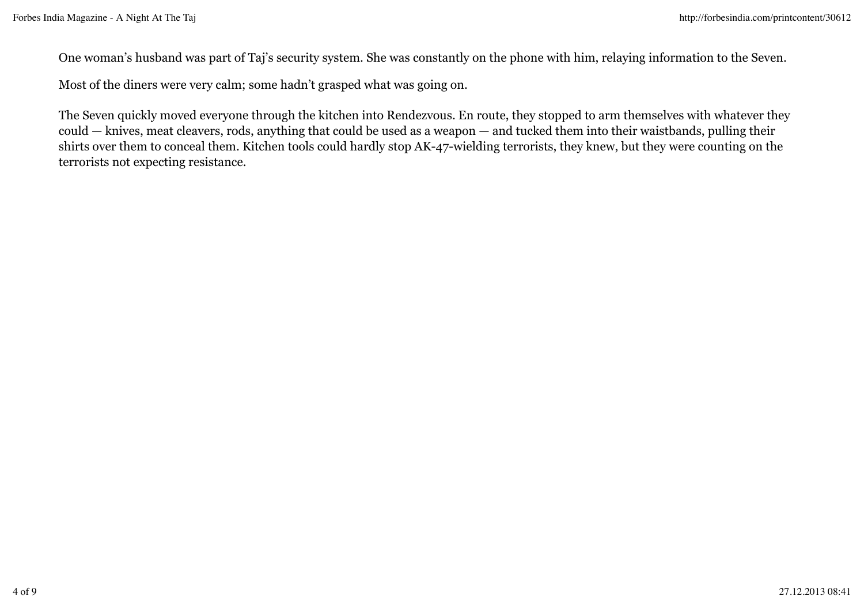One woman's husband was part of Taj's security system. She was constantly on the phone with him, relaying information to the Seven.

Most of the diners were very calm; some hadn't grasped what was going on.

The Seven quickly moved everyone through the kitchen into Rendezvous. En route, they stopped to arm themselves with whatever they could — knives, meat cleavers, rods, anything that could be used as a weapon — and tucked them into their waistbands, pulling their shirts over them to conceal them. Kitchen tools could hardly stop AK-47-wielding terrorists, they knew, but they were counting on the terrorists not expecting resistance.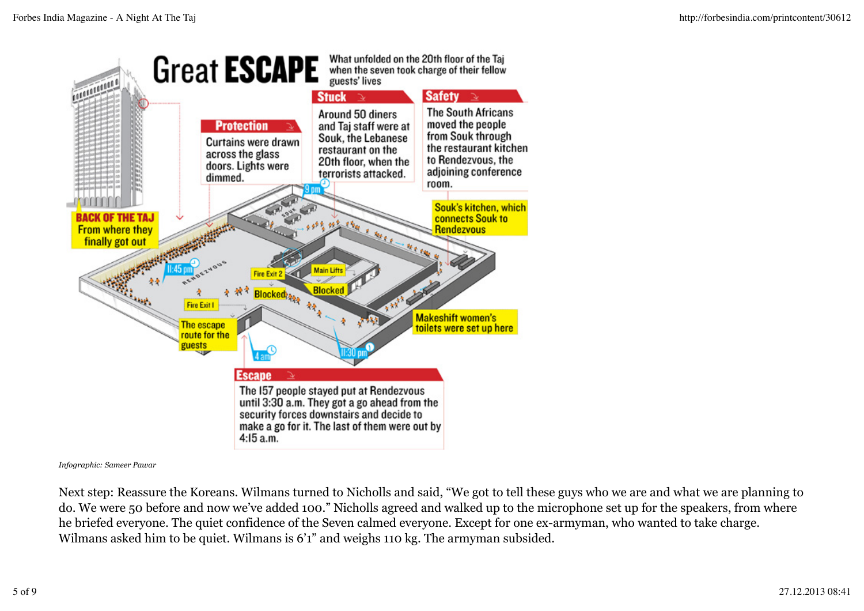

*Infographic: Sameer Pawar*

Next step: Reassure the Koreans. Wilmans turned to Nicholls and said, "We got to tell these guys who we are and what we are planning to do. We were 50 before and now we've added 100." Nicholls agreed and walked up to the microphone set up for the speakers, from where he briefed everyone. The quiet confidence of the Seven calmed everyone. Except for one ex-armyman, who wanted to take charge. Wilmans asked him to be quiet. Wilmans is 6'1" and weighs 110 kg. The armyman subsided.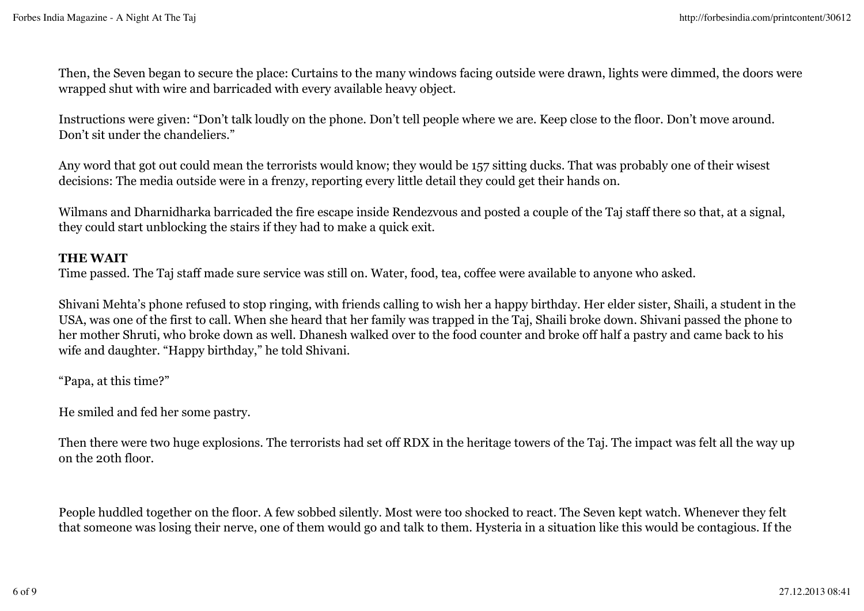Then, the Seven began to secure the place: Curtains to the many windows facing outside were drawn, lights were dimmed, the doors were wrapped shut with wire and barricaded with every available heavy object.

Instructions were given: "Don't talk loudly on the phone. Don't tell people where we are. Keep close to the floor. Don't move around. Don't sit under the chandeliers."

Any word that got out could mean the terrorists would know; they would be 157 sitting ducks. That was probably one of their wisest decisions: The media outside were in a frenzy, reporting every little detail they could get their hands on.

Wilmans and Dharnidharka barricaded the fire escape inside Rendezvous and posted a couple of the Taj staff there so that, at a signal, they could start unblocking the stairs if they had to make a quick exit.

#### **THE WAIT**

Time passed. The Taj staff made sure service was still on. Water, food, tea, coffee were available to anyone who asked.

Shivani Mehta's phone refused to stop ringing, with friends calling to wish her a happy birthday. Her elder sister, Shaili, a student in the USA, was one of the first to call. When she heard that her family was trapped in the Taj, Shaili broke down. Shivani passed the phone to her mother Shruti, who broke down as well. Dhanesh walked over to the food counter and broke off half a pastry and came back to his wife and daughter. "Happy birthday," he told Shivani.

"Papa, at this time?"

He smiled and fed her some pastry.

Then there were two huge explosions. The terrorists had set off RDX in the heritage towers of the Taj. The impact was felt all the way up on the 20th floor.

People huddled together on the floor. A few sobbed silently. Most were too shocked to react. The Seven kept watch. Whenever they felt that someone was losing their nerve, one of them would go and talk to them. Hysteria in a situation like this would be contagious. If the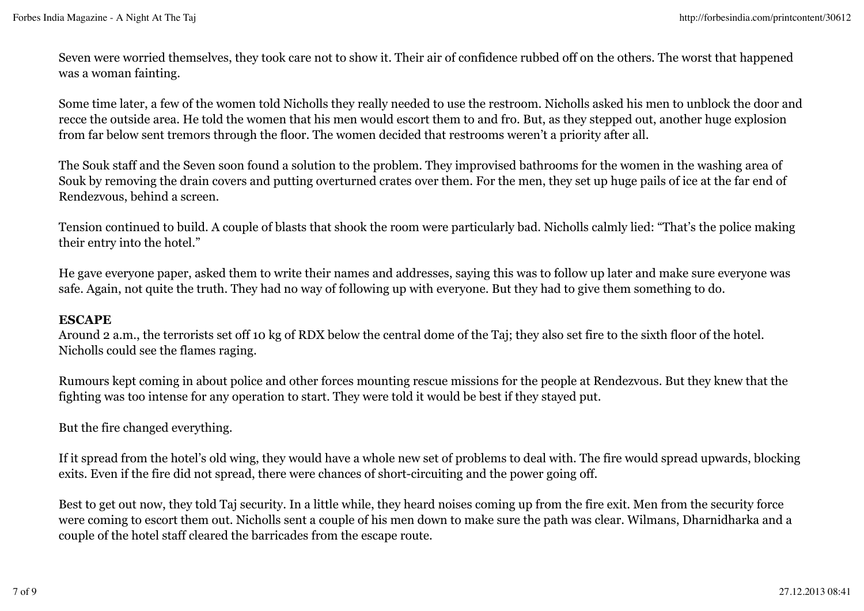Seven were worried themselves, they took care not to show it. Their air of confidence rubbed off on the others. The worst that happened was a woman fainting.

Some time later, a few of the women told Nicholls they really needed to use the restroom. Nicholls asked his men to unblock the door and recce the outside area. He told the women that his men would escort them to and fro. But, as they stepped out, another huge explosion from far below sent tremors through the floor. The women decided that restrooms weren't a priority after all.

The Souk staff and the Seven soon found a solution to the problem. They improvised bathrooms for the women in the washing area of Souk by removing the drain covers and putting overturned crates over them. For the men, they set up huge pails of ice at the far end of Rendezvous, behind a screen.

Tension continued to build. A couple of blasts that shook the room were particularly bad. Nicholls calmly lied: "That's the police making their entry into the hotel."

He gave everyone paper, asked them to write their names and addresses, saying this was to follow up later and make sure everyone was safe. Again, not quite the truth. They had no way of following up with everyone. But they had to give them something to do.

#### **ESCAPE**

Around 2 a.m., the terrorists set off 10 kg of RDX below the central dome of the Taj; they also set fire to the sixth floor of the hotel. Nicholls could see the flames raging.

Rumours kept coming in about police and other forces mounting rescue missions for the people at Rendezvous. But they knew that the fighting was too intense for any operation to start. They were told it would be best if they stayed put.

But the fire changed everything.

If it spread from the hotel's old wing, they would have a whole new set of problems to deal with. The fire would spread upwards, blocking exits. Even if the fire did not spread, there were chances of short-circuiting and the power going off.

Best to get out now, they told Taj security. In a little while, they heard noises coming up from the fire exit. Men from the security force were coming to escort them out. Nicholls sent a couple of his men down to make sure the path was clear. Wilmans, Dharnidharka and a couple of the hotel staff cleared the barricades from the escape route.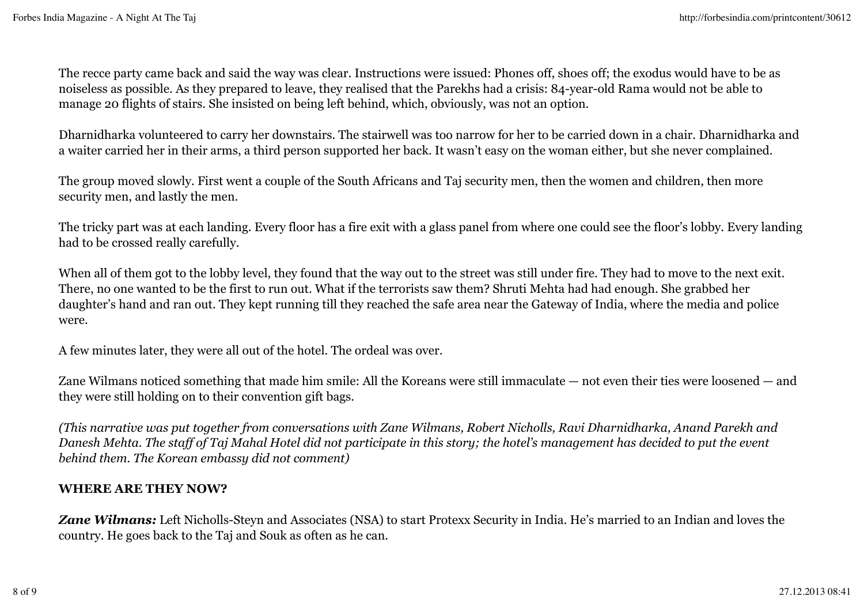The recce party came back and said the way was clear. Instructions were issued: Phones off, shoes off; the exodus would have to be as noiseless as possible. As they prepared to leave, they realised that the Parekhs had a crisis: 84-year-old Rama would not be able to manage 20 flights of stairs. She insisted on being left behind, which, obviously, was not an option.

Dharnidharka volunteered to carry her downstairs. The stairwell was too narrow for her to be carried down in a chair. Dharnidharka and a waiter carried her in their arms, a third person supported her back. It wasn't easy on the woman either, but she never complained.

The group moved slowly. First went a couple of the South Africans and Taj security men, then the women and children, then more security men, and lastly the men.

The tricky part was at each landing. Every floor has a fire exit with a glass panel from where one could see the floor's lobby. Every landing had to be crossed really carefully.

When all of them got to the lobby level, they found that the way out to the street was still under fire. They had to move to the next exit. There, no one wanted to be the first to run out. What if the terrorists saw them? Shruti Mehta had had enough. She grabbed her daughter's hand and ran out. They kept running till they reached the safe area near the Gateway of India, where the media and police were.

A few minutes later, they were all out of the hotel. The ordeal was over.

Zane Wilmans noticed something that made him smile: All the Koreans were still immaculate — not even their ties were loosened — and they were still holding on to their convention gift bags.

*(This narrative was put together from conversations with Zane Wilmans, Robert Nicholls, Ravi Dharnidharka, Anand Parekh and Danesh Mehta. The staff of Taj Mahal Hotel did not participate in this story; the hotel's management has decided to put the event behind them. The Korean embassy did not comment)*

### **WHERE ARE THEY NOW?**

*Zane Wilmans:* Left Nicholls-Steyn and Associates (NSA) to start Protexx Security in India. He's married to an Indian and loves the country. He goes back to the Taj and Souk as often as he can.